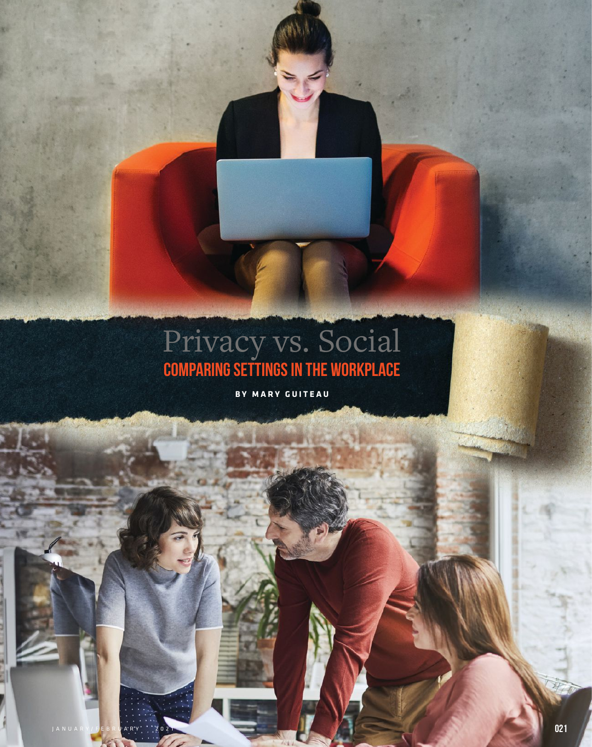# Privacy vs. Social Comparing settings in the workplace

**BY MARY GUITEAU**

JANUARY/FEBRUARY 2021 021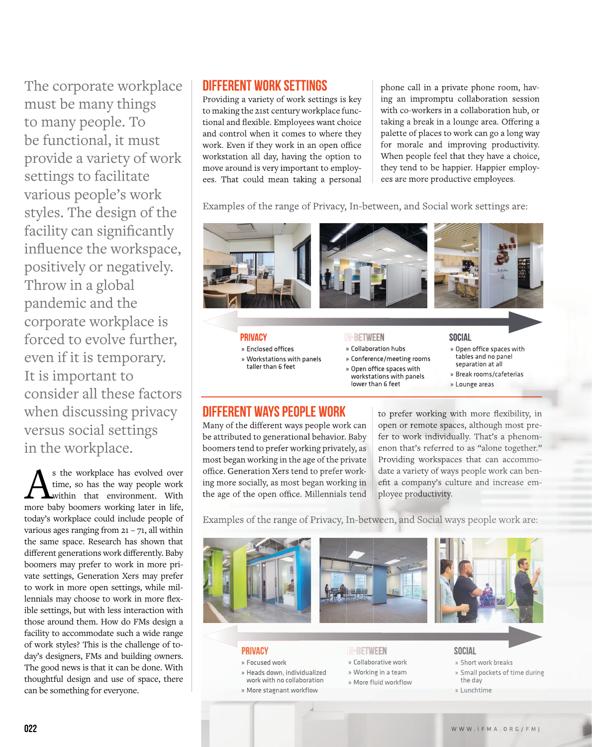The corporate workplace must be many things to many people. To be functional, it must provide a variety of work settings to facilitate various people's work styles. The design of the facility can significantly influence the workspace, positively or negatively. Throw in a global pandemic and the corporate workplace is forced to evolve further, even if it is temporary. It is important to consider all these factors when discussing privacy versus social settings in the workplace.

 $\sum_{\text{time, so has the way people work}}$  s the workplace has evolved over time, so has the way people work within that environment. With more baby boomers working later in life, today's workplace could include people of various ages ranging from  $21 - 71$ , all within the same space. Research has shown that different generations work differently. Baby boomers may prefer to work in more private settings, Generation Xers may prefer to work in more open settings, while millennials may choose to work in more flexible settings, but with less interaction with those around them. How do FMs design a facility to accommodate such a wide range of work styles? This is the challenge of today's designers, FMs and building owners. The good news is that it can be done. With thoughtful design and use of space, there can be something for everyone.

## DIFFERENT WORK SETTINGS

Providing a variety of work settings is key to making the 21st century workplace functional and flexible. Employees want choice and control when it comes to where they work. Even if they work in an open office workstation all day, having the option to move around is very important to employees. That could mean taking a personal

phone call in a private phone room, having an impromptu collaboration session with co-workers in a collaboration hub, or taking a break in a lounge area. Offering a palette of places to work can go a long way for morale and improving productivity. When people feel that they have a choice, they tend to be happier. Happier employees are more productive employees.

Examples of the range of Privacy, In-between, and Social work settings are:



- taller than 6 feet
- » Conference/meeting rooms Collaboration hubs<br>Conference/meeting rooms<br>Open office spaces with
- » Open office spaces with
	- workstations with panels lower than 6 feet
- » Open office spaces with tables and no panel separation at all
- » Break rooms/cafeterias separation at all<br>Break rooms/cafeterias<br>Lounge areas
- » Lounge areas

# DIFFERENT WAYS PEOPLE WORK

Many of the different ways people work can be attributed to generational behavior. Baby boomers tend to prefer working privately, as most began working in the age of the private office. Generation Xers tend to prefer working more socially, as most began working in the age of the open office. Millennials tend to prefer working with more flexibility, in open or remote spaces, although most prefer to work individually. That's a phenomenon that's referred to as "alone together." Providing workspaces that can accommodate a variety of ways people work can benefit a company's culture and increase employee productivity.

Examples of the range of Privacy, In-between, and Social ways people work are:

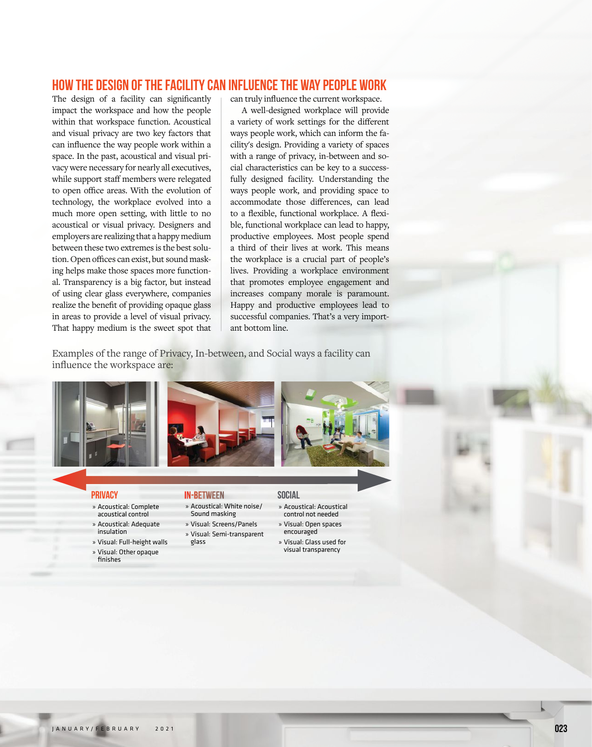## How the Design of the Facility can Influence the Way People Work

The design of a facility can significantly impact the workspace and how the people within that workspace function. Acoustical and visual privacy are two key factors that can influence the way people work within a space. In the past, acoustical and visual privacy were necessary for nearly all executives, while support staff members were relegated to open office areas. With the evolution of technology, the workplace evolved into a much more open setting, with little to no acoustical or visual privacy. Designers and employers are realizing that a happy medium between these two extremes is the best solution. Open offices can exist, but sound masking helps make those spaces more functional. Transparency is a big factor, but instead of using clear glass everywhere, companies realize the benefit of providing opaque glass in areas to provide a level of visual privacy. That happy medium is the sweet spot that can truly influence the current workspace.

 A well-designed workplace will provide a variety of work settings for the different ways people work, which can inform the facility's design. Providing a variety of spaces with a range of privacy, in-between and social characteristics can be key to a successfully designed facility. Understanding the ways people work, and providing space to accommodate those differences, can lead to a flexible, functional workplace. A flexible, functional workplace can lead to happy, productive employees. Most people spend a third of their lives at work. This means the workplace is a crucial part of people's lives. Providing a workplace environment that promotes employee engagement and increases company morale is paramount. Happy and productive employees lead to successful companies. That's a very important bottom line.

Examples of the range of Privacy, In-between, and Social ways a facility can influence the workspace are:







#### **PRIVACY**

- » Acoustical: Complete acoustical control
- » Acoustical: Adequate
- insulation
- » Visual: Full-height walls
- » Visual: Other opaque finiches

#### In-between

- » Acoustical: White noise/ Sound masking » Visual: Screens/Panels
- » Visual: Semi-transparent glass

#### Social

- » Acoustical: Acoustical control not needed
- » Visual: Open spaces
- encouraged » Visual: Glass used for
- visual transparency